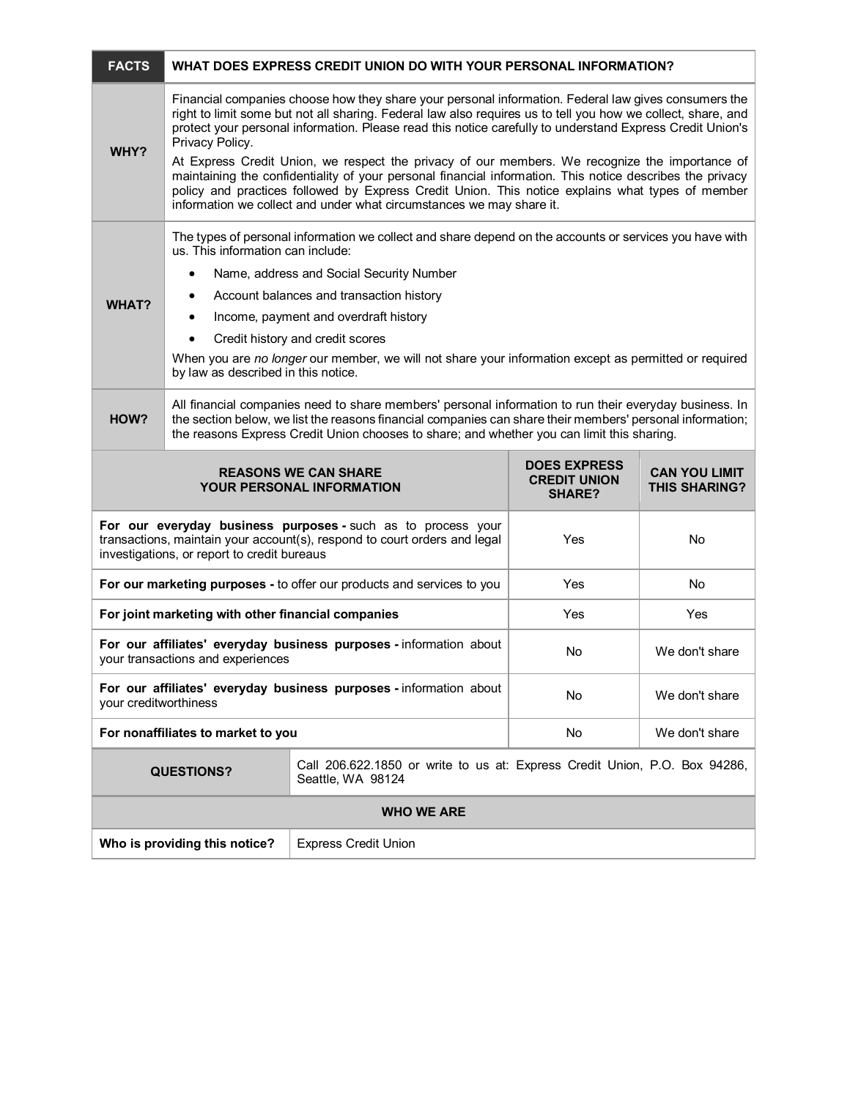| <b>FACTS</b>                                                                                                                                                                             | WHAT DOES EXPRESS CREDIT UNION DO WITH YOUR PERSONAL INFORMATION?                                                                                                                                                                                                                                                                                                                                                                                                                                                                                                                                                                                                                                                                               |                                                                                                 |                                                             |                                              |  |
|------------------------------------------------------------------------------------------------------------------------------------------------------------------------------------------|-------------------------------------------------------------------------------------------------------------------------------------------------------------------------------------------------------------------------------------------------------------------------------------------------------------------------------------------------------------------------------------------------------------------------------------------------------------------------------------------------------------------------------------------------------------------------------------------------------------------------------------------------------------------------------------------------------------------------------------------------|-------------------------------------------------------------------------------------------------|-------------------------------------------------------------|----------------------------------------------|--|
| WHY?                                                                                                                                                                                     | Financial companies choose how they share your personal information. Federal law gives consumers the<br>right to limit some but not all sharing. Federal law also requires us to tell you how we collect, share, and<br>protect your personal information. Please read this notice carefully to understand Express Credit Union's<br>Privacy Policy.<br>At Express Credit Union, we respect the privacy of our members. We recognize the importance of<br>maintaining the confidentiality of your personal financial information. This notice describes the privacy<br>policy and practices followed by Express Credit Union. This notice explains what types of member<br>information we collect and under what circumstances we may share it. |                                                                                                 |                                                             |                                              |  |
| <b>WHAT?</b>                                                                                                                                                                             | The types of personal information we collect and share depend on the accounts or services you have with<br>us. This information can include:<br>Name, address and Social Security Number<br>٠<br>Account balances and transaction history<br>٠<br>Income, payment and overdraft history<br>٠<br>Credit history and credit scores<br>When you are no longer our member, we will not share your information except as permitted or required<br>by law as described in this notice.                                                                                                                                                                                                                                                                |                                                                                                 |                                                             |                                              |  |
| HOW?                                                                                                                                                                                     | All financial companies need to share members' personal information to run their everyday business. In<br>the section below, we list the reasons financial companies can share their members' personal information;<br>the reasons Express Credit Union chooses to share; and whether you can limit this sharing.                                                                                                                                                                                                                                                                                                                                                                                                                               |                                                                                                 |                                                             |                                              |  |
| <b>REASONS WE CAN SHARE</b><br><b>YOUR PERSONAL INFORMATION</b>                                                                                                                          |                                                                                                                                                                                                                                                                                                                                                                                                                                                                                                                                                                                                                                                                                                                                                 |                                                                                                 | <b>DOES EXPRESS</b><br><b>CREDIT UNION</b><br><b>SHARE?</b> | <b>CAN YOU LIMIT</b><br><b>THIS SHARING?</b> |  |
| For our everyday business purposes - such as to process your<br>transactions, maintain your account(s), respond to court orders and legal<br>investigations, or report to credit bureaus |                                                                                                                                                                                                                                                                                                                                                                                                                                                                                                                                                                                                                                                                                                                                                 |                                                                                                 | Yes                                                         | No                                           |  |
| For our marketing purposes - to offer our products and services to you                                                                                                                   |                                                                                                                                                                                                                                                                                                                                                                                                                                                                                                                                                                                                                                                                                                                                                 |                                                                                                 | Yes                                                         | No                                           |  |
| For joint marketing with other financial companies                                                                                                                                       |                                                                                                                                                                                                                                                                                                                                                                                                                                                                                                                                                                                                                                                                                                                                                 |                                                                                                 | Yes                                                         | Yes                                          |  |
| For our affiliates' everyday business purposes - information about<br>your transactions and experiences                                                                                  |                                                                                                                                                                                                                                                                                                                                                                                                                                                                                                                                                                                                                                                                                                                                                 |                                                                                                 | No                                                          | We don't share                               |  |
| For our affiliates' everyday business purposes - information about<br>your creditworthiness                                                                                              |                                                                                                                                                                                                                                                                                                                                                                                                                                                                                                                                                                                                                                                                                                                                                 |                                                                                                 | No                                                          | We don't share                               |  |
| For nonaffiliates to market to you                                                                                                                                                       |                                                                                                                                                                                                                                                                                                                                                                                                                                                                                                                                                                                                                                                                                                                                                 |                                                                                                 | No                                                          | We don't share                               |  |
|                                                                                                                                                                                          | <b>QUESTIONS?</b>                                                                                                                                                                                                                                                                                                                                                                                                                                                                                                                                                                                                                                                                                                                               | Call 206.622.1850 or write to us at: Express Credit Union, P.O. Box 94286,<br>Seattle, WA 98124 |                                                             |                                              |  |
| <b>WHO WE ARE</b>                                                                                                                                                                        |                                                                                                                                                                                                                                                                                                                                                                                                                                                                                                                                                                                                                                                                                                                                                 |                                                                                                 |                                                             |                                              |  |
| Who is providing this notice?                                                                                                                                                            |                                                                                                                                                                                                                                                                                                                                                                                                                                                                                                                                                                                                                                                                                                                                                 | <b>Express Credit Union</b>                                                                     |                                                             |                                              |  |